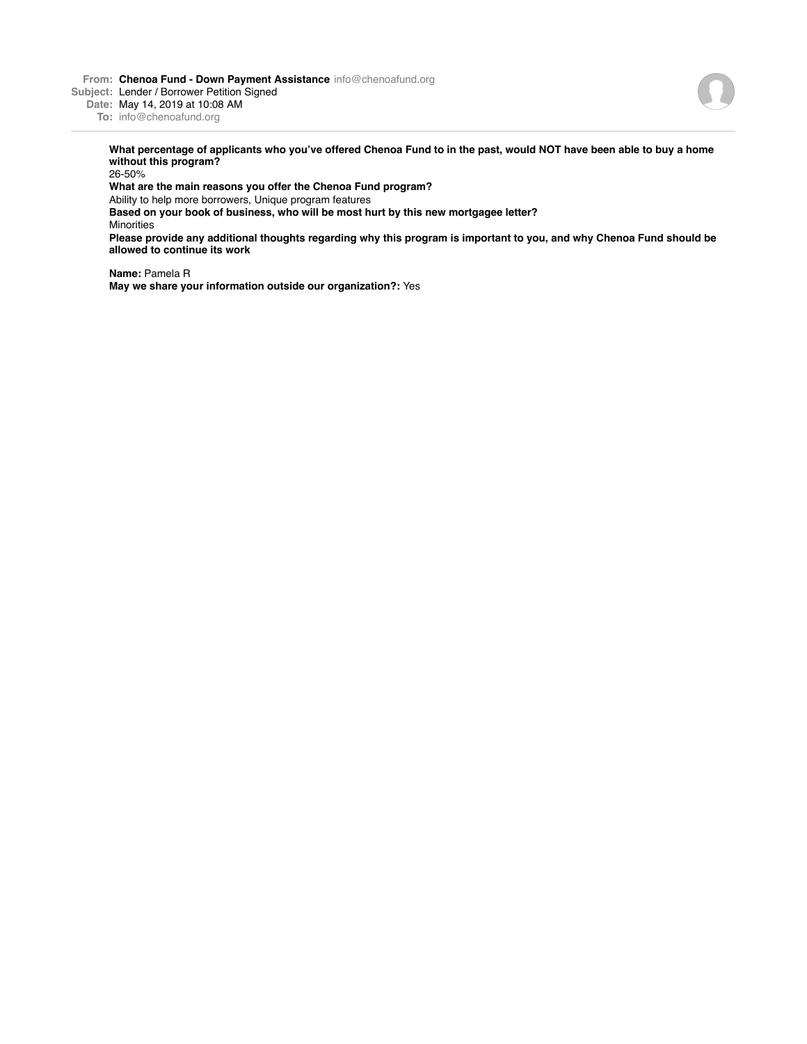**From: Chenoa Fund - Down Payment Assistance** info@chenoafund.org

**Subject:** Lender / Borrower Petition Signed

**Date:** May 14, 2019 at 10:08 AM

**To:** info@chenoafund.org

**What percentage of applicants who you've offered Chenoa Fund to in the past, would NOT have been able to buy a home without this program?**

26-50%

**What are the main reasons you offer the Chenoa Fund program?**

Ability to help more borrowers, Unique program features

**Based on your book of business, who will be most hurt by this new mortgagee letter?** Minorities

**Please provide any additional thoughts regarding why this program is important to you, and why Chenoa Fund should be allowed to continue its work**

**Name:** Pamela R

**May we share your information outside our organization?:** Yes